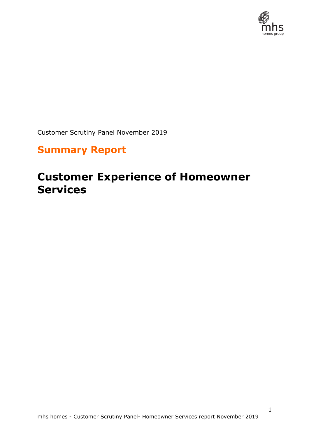

1

Customer Scrutiny Panel November 2019

## **Summary Report**

# **Customer Experience of Homeowner Services**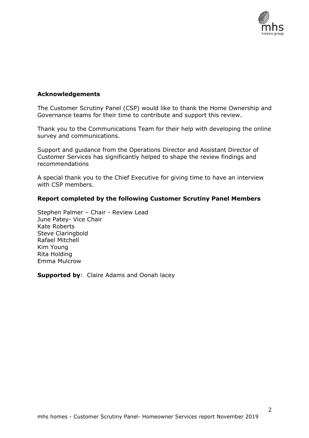

## **Acknowledgements**

The Customer Scrutiny Panel (CSP) would like to thank the Home Ownership and Governance teams for their time to contribute and support this review.

Thank you to the Communications Team for their help with developing the online survey and communications.

Support and guidance from the Operations Director and Assistant Director of Customer Services has significantly helped to shape the review findings and recommendations

A special thank you to the Chief Executive for giving time to have an interview with CSP members.

#### **Report completed by the following Customer Scrutiny Panel Members**

Stephen Palmer – Chair - Review Lead June Patey- Vice Chair Kate Roberts Steve Claringbold Rafael Mitchell Kim Young Rita Holding Emma Mulcrow

**Supported by:** Claire Adams and Oonah lacey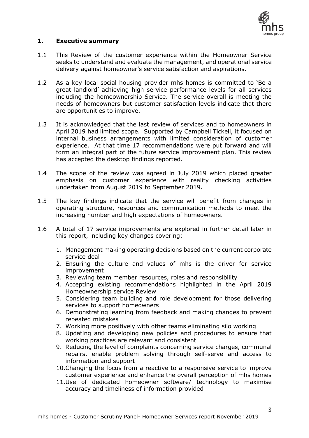

## **1. Executive summary**

- 1.1 This Review of the customer experience within the Homeowner Service seeks to understand and evaluate the management, and operational service delivery against homeowner's service satisfaction and aspirations.
- 1.2 As a key local social housing provider mhs homes is committed to 'Be a great landlord' achieving high service performance levels for all services including the homeownership Service. The service overall is meeting the needs of homeowners but customer satisfaction levels indicate that there are opportunities to improve.
- 1.3 It is acknowledged that the last review of services and to homeowners in April 2019 had limited scope. Supported by Campbell Tickell, it focused on internal business arrangements with limited consideration of customer experience. At that time 17 recommendations were put forward and will form an integral part of the future service improvement plan. This review has accepted the desktop findings reported.
- 1.4 The scope of the review was agreed in July 2019 which placed greater emphasis on customer experience with reality checking activities undertaken from August 2019 to September 2019.
- 1.5 The key findings indicate that the service will benefit from changes in operating structure, resources and communication methods to meet the increasing number and high expectations of homeowners.
- 1.6 A total of 17 service improvements are explored in further detail later in this report, including key changes covering:
	- 1. Management making operating decisions based on the current corporate service deal
	- 2. Ensuring the culture and values of mhs is the driver for service improvement
	- 3. Reviewing team member resources, roles and responsibility
	- 4. Accepting existing recommendations highlighted in the April 2019 Homeownership service Review
	- 5. Considering team building and role development for those delivering services to support homeowners
	- 6. Demonstrating learning from feedback and making changes to prevent repeated mistakes
	- 7. Working more positively with other teams eliminating silo working
	- 8. Updating and developing new policies and procedures to ensure that working practices are relevant and consistent
	- 9. Reducing the level of complaints concerning service charges, communal repairs, enable problem solving through self-serve and access to information and support
	- 10.Changing the focus from a reactive to a responsive service to improve customer experience and enhance the overall perception of mhs homes
	- 11.Use of dedicated homeowner software/ technology to maximise accuracy and timeliness of information provided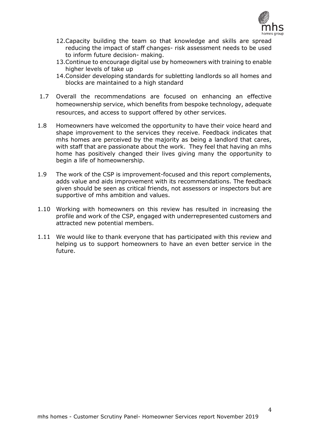

- 12.Capacity building the team so that knowledge and skills are spread reducing the impact of staff changes- risk assessment needs to be used to inform future decision- making.
- 13.Continue to encourage digital use by homeowners with training to enable higher levels of take up
- 14.Consider developing standards for subletting landlords so all homes and blocks are maintained to a high standard
- 1.7 Overall the recommendations are focused on enhancing an effective homeownership service, which benefits from bespoke technology, adequate resources, and access to support offered by other services.
- 1.8 Homeowners have welcomed the opportunity to have their voice heard and shape improvement to the services they receive. Feedback indicates that mhs homes are perceived by the majority as being a landlord that cares, with staff that are passionate about the work. They feel that having an mhs home has positively changed their lives giving many the opportunity to begin a life of homeownership.
- 1.9 The work of the CSP is improvement-focused and this report complements, adds value and aids improvement with its recommendations. The feedback given should be seen as critical friends, not assessors or inspectors but are supportive of mhs ambition and values.
- 1.10 Working with homeowners on this review has resulted in increasing the profile and work of the CSP, engaged with underrepresented customers and attracted new potential members.
- 1.11 We would like to thank everyone that has participated with this review and helping us to support homeowners to have an even better service in the future.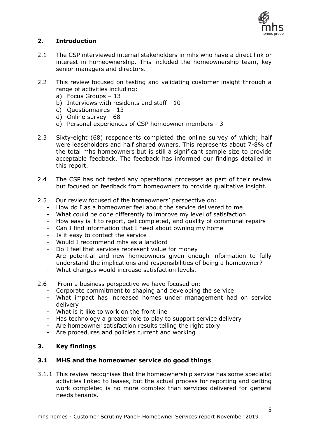

## **2. Introduction**

- 2.1 The CSP interviewed internal stakeholders in mhs who have a direct link or interest in homeownership. This included the homeownership team, key senior managers and directors.
- 2.2 This review focused on testing and validating customer insight through a range of activities including:
	- a) Focus Groups 13
	- b) Interviews with residents and staff 10
	- c) Questionnaires 13
	- d) Online survey 68
	- e) Personal experiences of CSP homeowner members 3
- 2.3 Sixty-eight (68) respondents completed the online survey of which; half were leaseholders and half shared owners. This represents about 7-8% of the total mhs homeowners but is still a significant sample size to provide acceptable feedback. The feedback has informed our findings detailed in this report.
- 2.4 The CSP has not tested any operational processes as part of their review but focused on feedback from homeowners to provide qualitative insight.
- 2.5 Our review focused of the homeowners' perspective on:
	- How do I as a homeowner feel about the service delivered to me
	- What could be done differently to improve my level of satisfaction
	- How easy is it to report, get completed, and quality of communal repairs
	- Can I find information that I need about owning my home
	- Is it easy to contact the service
	- Would I recommend mhs as a landlord
	- Do I feel that services represent value for money
	- Are potential and new homeowners given enough information to fully understand the implications and responsibilities of being a homeowner?
	- What changes would increase satisfaction levels.
- 2.6 From a business perspective we have focused on:
	- Corporate commitment to shaping and developing the service
	- What impact has increased homes under management had on service delivery
	- What is it like to work on the front line
	- Has technology a greater role to play to support service delivery
	- Are homeowner satisfaction results telling the right story
	- Are procedures and policies current and working

## **3. Key findings**

## **3.1 MHS and the homeowner service do good things**

3.1.1 This review recognises that the homeownership service has some specialist activities linked to leases, but the actual process for reporting and getting work completed is no more complex than services delivered for general needs tenants.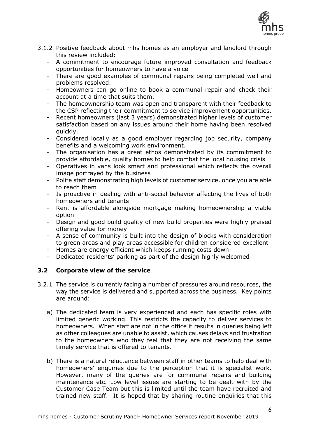

- 3.1.2 Positive feedback about mhs homes as an employer and landlord through this review included:
	- A commitment to encourage future improved consultation and feedback opportunities for homeowners to have a voice
	- There are good examples of communal repairs being completed well and problems resolved.
	- Homeowners can go online to book a communal repair and check their account at a time that suits them.
	- The homeownership team was open and transparent with their feedback to the CSP reflecting their commitment to service improvement opportunities.
	- Recent homeowners (last 3 years) demonstrated higher levels of customer satisfaction based on any issues around their home having been resolved quickly.
	- Considered locally as a good employer regarding job security, company benefits and a welcoming work environment.
	- The organisation has a great ethos demonstrated by its commitment to provide affordable, quality homes to help combat the local housing crisis
	- Operatives in vans look smart and professional which reflects the overall image portrayed by the business
	- Polite staff demonstrating high levels of customer service, once you are able to reach them
	- Is proactive in dealing with anti-social behavior affecting the lives of both homeowners and tenants
	- Rent is affordable alongside mortgage making homeownership a viable option
	- Design and good build quality of new build properties were highly praised offering value for money
	- A sense of community is built into the design of blocks with consideration to green areas and play areas accessible for children considered excellent
	- Homes are energy efficient which keeps running costs down
	- Dedicated residents' parking as part of the design highly welcomed

## **3.2 Corporate view of the service**

- 3.2.1 The service is currently facing a number of pressures around resources, the way the service is delivered and supported across the business. Key points are around:
	- a) The dedicated team is very experienced and each has specific roles with limited generic working. This restricts the capacity to deliver services to homeowners. When staff are not in the office it results in queries being left as other colleagues are unable to assist, which causes delays and frustration to the homeowners who they feel that they are not receiving the same timely service that is offered to tenants.
	- b) There is a natural reluctance between staff in other teams to help deal with homeowners' enquiries due to the perception that it is specialist work. However, many of the queries are for communal repairs and building maintenance etc. Low level issues are starting to be dealt with by the Customer Case Team but this is limited until the team have recruited and trained new staff. It is hoped that by sharing routine enquiries that this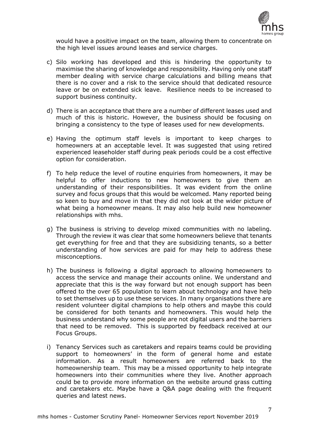

would have a positive impact on the team, allowing them to concentrate on the high level issues around leases and service charges.

- c) Silo working has developed and this is hindering the opportunity to maximise the sharing of knowledge and responsibility. Having only one staff member dealing with service charge calculations and billing means that there is no cover and a risk to the service should that dedicated resource leave or be on extended sick leave. Resilience needs to be increased to support business continuity.
- d) There is an acceptance that there are a number of different leases used and much of this is historic. However, the business should be focusing on bringing a consistency to the type of leases used for new developments.
- e) Having the optimum staff levels is important to keep charges to homeowners at an acceptable level. It was suggested that using retired experienced leaseholder staff during peak periods could be a cost effective option for consideration.
- f) To help reduce the level of routine enquiries from homeowners, it may be helpful to offer inductions to new homeowners to give them an understanding of their responsibilities. It was evident from the online survey and focus groups that this would be welcomed. Many reported being so keen to buy and move in that they did not look at the wider picture of what being a homeowner means. It may also help build new homeowner relationships with mhs.
- g) The business is striving to develop mixed communities with no labeling. Through the review it was clear that some homeowners believe that tenants get everything for free and that they are subsidizing tenants, so a better understanding of how services are paid for may help to address these misconceptions.
- h) The business is following a digital approach to allowing homeowners to access the service and manage their accounts online. We understand and appreciate that this is the way forward but not enough support has been offered to the over 65 population to learn about technology and have help to set themselves up to use these services. In many organisations there are resident volunteer digital champions to help others and maybe this could be considered for both tenants and homeowners. This would help the business understand why some people are not digital users and the barriers that need to be removed. This is supported by feedback received at our Focus Groups.
- i) Tenancy Services such as caretakers and repairs teams could be providing support to homeowners' in the form of general home and estate information. As a result homeowners are referred back to the homeownership team. This may be a missed opportunity to help integrate homeowners into their communities where they live. Another approach could be to provide more information on the website around grass cutting and caretakers etc. Maybe have a Q&A page dealing with the frequent queries and latest news.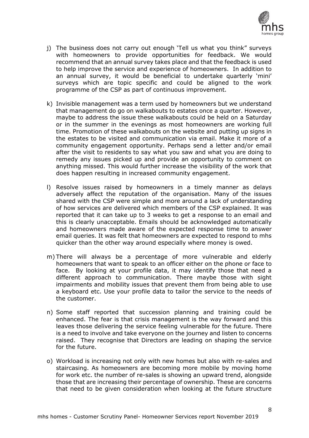

- j) The business does not carry out enough 'Tell us what you think" surveys with homeowners to provide opportunities for feedback. We would recommend that an annual survey takes place and that the feedback is used to help improve the service and experience of homeowners. In addition to an annual survey, it would be beneficial to undertake quarterly 'mini' surveys which are topic specific and could be aligned to the work programme of the CSP as part of continuous improvement.
- k) Invisible management was a term used by homeowners but we understand that management do go on walkabouts to estates once a quarter. However, maybe to address the issue these walkabouts could be held on a Saturday or in the summer in the evenings as most homeowners are working full time. Promotion of these walkabouts on the website and putting up signs in the estates to be visited and communication via email. Make it more of a community engagement opportunity. Perhaps send a letter and/or email after the visit to residents to say what you saw and what you are doing to remedy any issues picked up and provide an opportunity to comment on anything missed. This would further increase the visibility of the work that does happen resulting in increased community engagement.
- l) Resolve issues raised by homeowners in a timely manner as delays adversely affect the reputation of the organisation. Many of the issues shared with the CSP were simple and more around a lack of understanding of how services are delivered which members of the CSP explained. It was reported that it can take up to 3 weeks to get a response to an email and this is clearly unacceptable. Emails should be acknowledged automatically and homeowners made aware of the expected response time to answer email queries. It was felt that homeowners are expected to respond to mhs quicker than the other way around especially where money is owed.
- m) There will always be a percentage of more vulnerable and elderly homeowners that want to speak to an officer either on the phone or face to face. By looking at your profile data, it may identify those that need a different approach to communication. There maybe those with sight impairments and mobility issues that prevent them from being able to use a keyboard etc. Use your profile data to tailor the service to the needs of the customer.
- n) Some staff reported that succession planning and training could be enhanced. The fear is that crisis management is the way forward and this leaves those delivering the service feeling vulnerable for the future. There is a need to involve and take everyone on the journey and listen to concerns raised. They recognise that Directors are leading on shaping the service for the future.
- o) Workload is increasing not only with new homes but also with re-sales and staircasing. As homeowners are becoming more mobile by moving home for work etc. the number of re-sales is showing an upward trend, alongside those that are increasing their percentage of ownership. These are concerns that need to be given consideration when looking at the future structure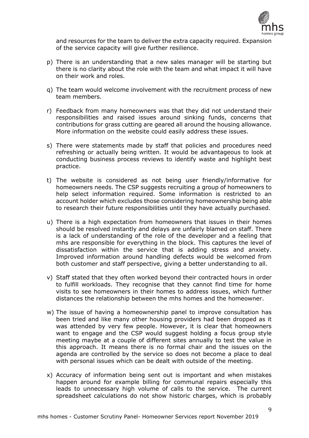

and resources for the team to deliver the extra capacity required. Expansion of the service capacity will give further resilience.

- p) There is an understanding that a new sales manager will be starting but there is no clarity about the role with the team and what impact it will have on their work and roles.
- q) The team would welcome involvement with the recruitment process of new team members.
- r) Feedback from many homeowners was that they did not understand their responsibilities and raised issues around sinking funds, concerns that contributions for grass cutting are geared all around the housing allowance. More information on the website could easily address these issues.
- s) There were statements made by staff that policies and procedures need refreshing or actually being written. It would be advantageous to look at conducting business process reviews to identify waste and highlight best practice.
- t) The website is considered as not being user friendly/informative for homeowners needs. The CSP suggests recruiting a group of homeowners to help select information required. Some information is restricted to an account holder which excludes those considering homeownership being able to research their future responsibilities until they have actually purchased.
- u) There is a high expectation from homeowners that issues in their homes should be resolved instantly and delays are unfairly blamed on staff. There is a lack of understanding of the role of the developer and a feeling that mhs are responsible for everything in the block. This captures the level of dissatisfaction within the service that is adding stress and anxiety. Improved information around handling defects would be welcomed from both customer and staff perspective, giving a better understanding to all.
- v) Staff stated that they often worked beyond their contracted hours in order to fulfill workloads. They recognise that they cannot find time for home visits to see homeowners in their homes to address issues, which further distances the relationship between the mhs homes and the homeowner.
- w) The issue of having a homeownership panel to improve consultation has been tried and like many other housing providers had been dropped as it was attended by very few people. However, it is clear that homeowners want to engage and the CSP would suggest holding a focus group style meeting maybe at a couple of different sites annually to test the value in this approach. It means there is no formal chair and the issues on the agenda are controlled by the service so does not become a place to deal with personal issues which can be dealt with outside of the meeting.
- x) Accuracy of information being sent out is important and when mistakes happen around for example billing for communal repairs especially this leads to unnecessary high volume of calls to the service. The current spreadsheet calculations do not show historic charges, which is probably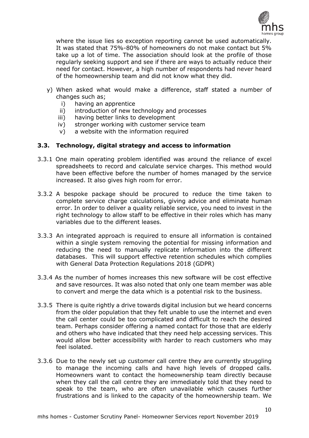

where the issue lies so exception reporting cannot be used automatically. It was stated that 75%-80% of homeowners do not make contact but 5% take up a lot of time. The association should look at the profile of those regularly seeking support and see if there are ways to actually reduce their need for contact. However, a high number of respondents had never heard of the homeownership team and did not know what they did.

- y) When asked what would make a difference, staff stated a number of changes such as;
	- i) having an apprentice
	- ii) introduction of new technology and processes
	- iii) having better links to development
	- iv) stronger working with customer service team
	- v) a website with the information required

## **3.3. Technology, digital strategy and access to information**

- 3.3.1 One main operating problem identified was around the reliance of excel spreadsheets to record and calculate service charges. This method would have been effective before the number of homes managed by the service increased. It also gives high room for error.
- 3.3.2 A bespoke package should be procured to reduce the time taken to complete service charge calculations, giving advice and eliminate human error. In order to deliver a quality reliable service, you need to invest in the right technology to allow staff to be effective in their roles which has many variables due to the different leases.
- 3.3.3 An integrated approach is required to ensure all information is contained within a single system removing the potential for missing information and reducing the need to manually replicate information into the different databases. This will support effective retention schedules which complies with General Data Protection Regulations 2018 (GDPR)
- 3.3.4 As the number of homes increases this new software will be cost effective and save resources. It was also noted that only one team member was able to convert and merge the data which is a potential risk to the business.
- 3.3.5 There is quite rightly a drive towards digital inclusion but we heard concerns from the older population that they felt unable to use the internet and even the call center could be too complicated and difficult to reach the desired team. Perhaps consider offering a named contact for those that are elderly and others who have indicated that they need help accessing services. This would allow better accessibility with harder to reach customers who may feel isolated.
- 3.3.6 Due to the newly set up customer call centre they are currently struggling to manage the incoming calls and have high levels of dropped calls. Homeowners want to contact the homeownership team directly because when they call the call centre they are immediately told that they need to speak to the team, who are often unavailable which causes further frustrations and is linked to the capacity of the homeownership team. We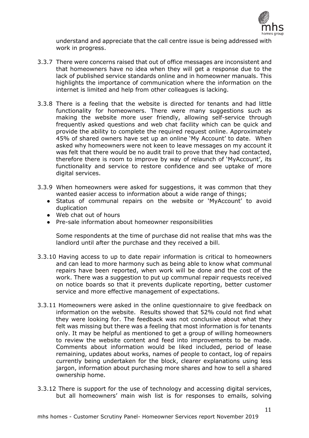

understand and appreciate that the call centre issue is being addressed with work in progress.

- 3.3.7 There were concerns raised that out of office messages are inconsistent and that homeowners have no idea when they will get a response due to the lack of published service standards online and in homeowner manuals. This highlights the importance of communication where the information on the internet is limited and help from other colleagues is lacking.
- 3.3.8 There is a feeling that the website is directed for tenants and had little functionality for homeowners. There were many suggestions such as making the website more user friendly, allowing self-service through frequently asked questions and web chat facility which can be quick and provide the ability to complete the required request online. Approximately 45% of shared owners have set up an online 'My Account' to date. When asked why homeowners were not keen to leave messages on my account it was felt that there would be no audit trail to prove that they had contacted, therefore there is room to improve by way of relaunch of 'MyAccount', its functionality and service to restore confidence and see uptake of more digital services.
- 3.3.9 When homeowners were asked for suggestions, it was common that they wanted easier access to information about a wide range of things;
	- Status of communal repairs on the website or 'MyAccount' to avoid duplication
	- Web chat out of hours
	- Pre-sale information about homeowner responsibilities

Some respondents at the time of purchase did not realise that mhs was the landlord until after the purchase and they received a bill.

- 3.3.10 Having access to up to date repair information is critical to homeowners and can lead to more harmony such as being able to know what communal repairs have been reported, when work will be done and the cost of the work. There was a suggestion to put up communal repair requests received on notice boards so that it prevents duplicate reporting, better customer service and more effective management of expectations.
- 3.3.11 Homeowners were asked in the online questionnaire to give feedback on information on the website. Results showed that 52% could not find what they were looking for. The feedback was not conclusive about what they felt was missing but there was a feeling that most information is for tenants only. It may be helpful as mentioned to get a group of willing homeowners to review the website content and feed into improvements to be made. Comments about information would be liked included, period of lease remaining, updates about works, names of people to contact, log of repairs currently being undertaken for the block, clearer explanations using less jargon, information about purchasing more shares and how to sell a shared ownership home.
- 3.3.12 There is support for the use of technology and accessing digital services, but all homeowners' main wish list is for responses to emails, solving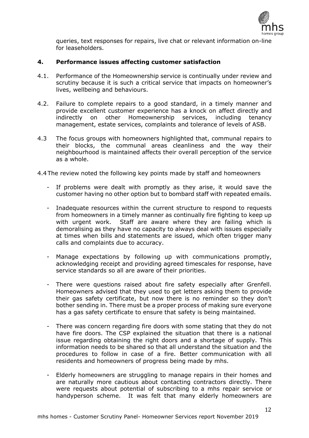

queries, text responses for repairs, live chat or relevant information on-line for leaseholders.

#### **4. Performance issues affecting customer satisfaction**

- 4.1. Performance of the Homeownership service is continually under review and scrutiny because it is such a critical service that impacts on homeowner's lives, wellbeing and behaviours.
- 4.2. Failure to complete repairs to a good standard, in a timely manner and provide excellent customer experience has a knock on affect directly and indirectly on other Homeownership services, including tenancy management, estate services, complaints and tolerance of levels of ASB.
- 4.3 The focus groups with homeowners highlighted that, communal repairs to their blocks, the communal areas cleanliness and the way their neighbourhood is maintained affects their overall perception of the service as a whole.

4.4The review noted the following key points made by staff and homeowners

- If problems were dealt with promptly as they arise, it would save the customer having no other option but to bombard staff with repeated emails.
- Inadequate resources within the current structure to respond to requests from homeowners in a timely manner as continually fire fighting to keep up with urgent work. Staff are aware where they are failing which is demoralising as they have no capacity to always deal with issues especially at times when bills and statements are issued, which often trigger many calls and complaints due to accuracy.
- Manage expectations by following up with communications promptly, acknowledging receipt and providing agreed timescales for response, have service standards so all are aware of their priorities.
- There were questions raised about fire safety especially after Grenfell. Homeowners advised that they used to get letters asking them to provide their gas safety certificate, but now there is no reminder so they don't bother sending in. There must be a proper process of making sure everyone has a gas safety certificate to ensure that safety is being maintained.
- There was concern regarding fire doors with some stating that they do not have fire doors. The CSP explained the situation that there is a national issue regarding obtaining the right doors and a shortage of supply. This information needs to be shared so that all understand the situation and the procedures to follow in case of a fire. Better communication with all residents and homeowners of progress being made by mhs.
- Elderly homeowners are struggling to manage repairs in their homes and are naturally more cautious about contacting contractors directly. There were requests about potential of subscribing to a mhs repair service or handyperson scheme. It was felt that many elderly homeowners are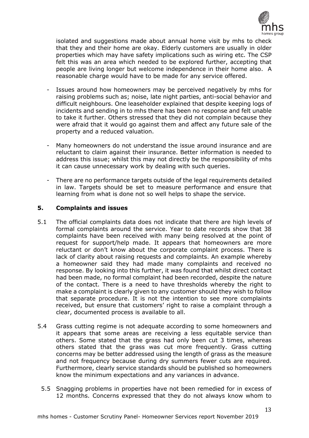

isolated and suggestions made about annual home visit by mhs to check that they and their home are okay. Elderly customers are usually in older properties which may have safety implications such as wiring etc. The CSP felt this was an area which needed to be explored further, accepting that people are living longer but welcome independence in their home also. A reasonable charge would have to be made for any service offered.

- Issues around how homeowners may be perceived negatively by mhs for raising problems such as; noise, late night parties, anti-social behavior and difficult neighbours. One leaseholder explained that despite keeping logs of incidents and sending in to mhs there has been no response and felt unable to take it further. Others stressed that they did not complain because they were afraid that it would go against them and affect any future sale of the property and a reduced valuation.
- Many homeowners do not understand the issue around insurance and are reluctant to claim against their insurance. Better information is needed to address this issue; whilst this may not directly be the responsibility of mhs it can cause unnecessary work by dealing with such queries.
- There are no performance targets outside of the legal requirements detailed in law. Targets should be set to measure performance and ensure that learning from what is done not so well helps to shape the service.

## **5. Complaints and issues**

- 5.1 The official complaints data does not indicate that there are high levels of formal complaints around the service. Year to date records show that 38 complaints have been received with many being resolved at the point of request for support/help made. It appears that homeowners are more reluctant or don't know about the corporate complaint process. There is lack of clarity about raising requests and complaints. An example whereby a homeowner said they had made many complaints and received no response. By looking into this further, it was found that whilst direct contact had been made, no formal complaint had been recorded, despite the nature of the contact. There is a need to have thresholds whereby the right to make a complaint is clearly given to any customer should they wish to follow that separate procedure. It is not the intention to see more complaints received, but ensure that customers' right to raise a complaint through a clear, documented process is available to all.
- 5.4 Grass cutting regime is not adequate according to some homeowners and it appears that some areas are receiving a less equitable service than others. Some stated that the grass had only been cut 3 times, whereas others stated that the grass was cut more frequently. Grass cutting concerns may be better addressed using the length of grass as the measure and not frequency because during dry summers fewer cuts are required. Furthermore, clearly service standards should be published so homeowners know the minimum expectations and any variances in advance.
	- 5.5 Snagging problems in properties have not been remedied for in excess of 12 months. Concerns expressed that they do not always know whom to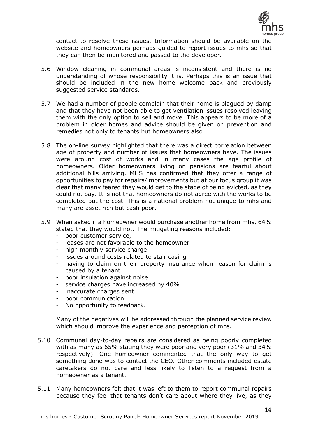

contact to resolve these issues. Information should be available on the website and homeowners perhaps guided to report issues to mhs so that they can then be monitored and passed to the developer.

- 5.6 Window cleaning in communal areas is inconsistent and there is no understanding of whose responsibility it is. Perhaps this is an issue that should be included in the new home welcome pack and previously suggested service standards.
- 5.7 We had a number of people complain that their home is plagued by damp and that they have not been able to get ventilation issues resolved leaving them with the only option to sell and move. This appears to be more of a problem in older homes and advice should be given on prevention and remedies not only to tenants but homeowners also.
- 5.8 The on-line survey highlighted that there was a direct correlation between age of property and number of issues that homeowners have. The issues were around cost of works and in many cases the age profile of homeowners. Older homeowners living on pensions are fearful about additional bills arriving. MHS has confirmed that they offer a range of opportunities to pay for repairs/improvements but at our focus group it was clear that many feared they would get to the stage of being evicted, as they could not pay. It is not that homeowners do not agree with the works to be completed but the cost. This is a national problem not unique to mhs and many are asset rich but cash poor.
- 5.9 When asked if a homeowner would purchase another home from mhs, 64% stated that they would not. The mitigating reasons included:
	- poor customer service,
	- leases are not favorable to the homeowner
	- high monthly service charge
	- issues around costs related to stair casing
	- having to claim on their property insurance when reason for claim is caused by a tenant
	- poor insulation against noise
	- service charges have increased by 40%
	- inaccurate charges sent
	- poor communication
	- No opportunity to feedback.

Many of the negatives will be addressed through the planned service review which should improve the experience and perception of mhs.

- 5.10 Communal day-to-day repairs are considered as being poorly completed with as many as 65% stating they were poor and very poor (31% and 34% respectively). One homeowner commented that the only way to get something done was to contact the CEO. Other comments included estate caretakers do not care and less likely to listen to a request from a homeowner as a tenant.
- 5.11 Many homeowners felt that it was left to them to report communal repairs because they feel that tenants don't care about where they live, as they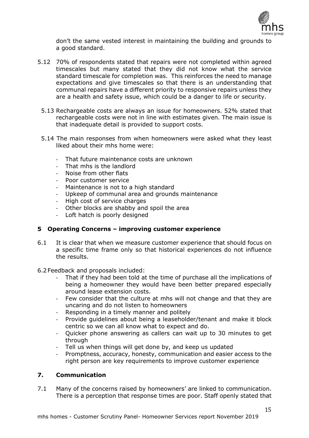

don't the same vested interest in maintaining the building and grounds to a good standard.

- 5.12 70% of respondents stated that repairs were not completed within agreed timescales but many stated that they did not know what the service standard timescale for completion was. This reinforces the need to manage expectations and give timescales so that there is an understanding that communal repairs have a different priority to responsive repairs unless they are a health and safety issue, which could be a danger to life or security.
	- 5.13 Rechargeable costs are always an issue for homeowners. 52% stated that rechargeable costs were not in line with estimates given. The main issue is that inadequate detail is provided to support costs.
	- 5.14 The main responses from when homeowners were asked what they least liked about their mhs home were:
		- That future maintenance costs are unknown
		- That mhs is the landlord
		- Noise from other flats
		- Poor customer service
		- Maintenance is not to a high standard
		- Upkeep of communal area and grounds maintenance
		- High cost of service charges
		- Other blocks are shabby and spoil the area
		- Loft hatch is poorly designed

## **5 Operating Concerns – improving customer experience**

- 6.1 It is clear that when we measure customer experience that should focus on a specific time frame only so that historical experiences do not influence the results.
- 6.2Feedback and proposals included:
	- That if they had been told at the time of purchase all the implications of being a homeowner they would have been better prepared especially around lease extension costs.
	- Few consider that the culture at mhs will not change and that they are uncaring and do not listen to homeowners
	- Responding in a timely manner and politely
	- Provide guidelines about being a leaseholder/tenant and make it block centric so we can all know what to expect and do.
	- Quicker phone answering as callers can wait up to 30 minutes to get through
	- Tell us when things will get done by, and keep us updated
	- Promptness, accuracy, honesty, communication and easier access to the right person are key requirements to improve customer experience

## **7. Communication**

7.1 Many of the concerns raised by homeowners' are linked to communication. There is a perception that response times are poor. Staff openly stated that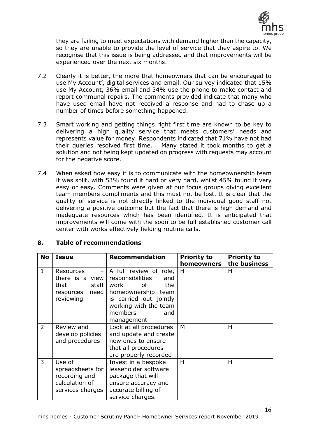

they are failing to meet expectations with demand higher than the capacity, so they are unable to provide the level of service that they aspire to. We recognise that this issue is being addressed and that improvements will be experienced over the next six months.

- 7.2 Clearly it is better, the more that homeowners that can be encouraged to use My Account', digital services and email. Our survey indicated that 15% use My Account, 36% email and 34% use the phone to make contact and report communal repairs. The comments provided indicate that many who have used email have not received a response and had to chase up a number of times before something happened.
- 7.3 Smart working and getting things right first time are known to be key to delivering a high quality service that meets customers' needs and represents value for money. Respondents indicated that 71% have not had their queries resolved first time. Many stated it took months to get a solution and not being kept updated on progress with requests may account for the negative score.
- 7.4 When asked how easy it is to communicate with the homeownership team it was split, with 53% found it hard or very hard, whilst 45% found it very easy or easy. Comments were given at our focus groups giving excellent team members compliments and this must not be lost. It is clear that the quality of service is not directly linked to the individual good staff not delivering a positive outcome but the fact that there is high demand and inadequate resources which has been identified. It is anticipated that improvements will come with the soon to be full established customer call center with works effectively fielding routine calls.

| 8. |  |  | <b>Table of recommendations</b> |
|----|--|--|---------------------------------|
|----|--|--|---------------------------------|

| <b>No</b>      | <b>Issue</b>                                                                                      | <b>Recommendation</b>                                                                                                                                                             | <b>Priority to</b><br>homeowners | <b>Priority to</b><br>the business |
|----------------|---------------------------------------------------------------------------------------------------|-----------------------------------------------------------------------------------------------------------------------------------------------------------------------------------|----------------------------------|------------------------------------|
| $\mathbf{1}$   | Resources<br>$\qquad \qquad -$<br>there is a view<br>staff<br>that<br>resources need<br>reviewing | A full review of role,<br>responsibilities<br>and<br>work<br>0f<br>the<br>homeownership team<br>is carried out jointly<br>working with the team<br>members<br>and<br>management - | H                                | H                                  |
| $\overline{2}$ | Review and<br>develop policies<br>and procedures                                                  | Look at all procedures<br>and update and create<br>new ones to ensure<br>that all procedures<br>are properly recorded                                                             | M                                | Н                                  |
| 3              | Use of<br>spreadsheets for<br>recording and<br>calculation of<br>services charges                 | Invest in a bespoke<br>leaseholder software<br>package that will<br>ensure accuracy and<br>accurate billing of<br>service charges.                                                | H                                | H                                  |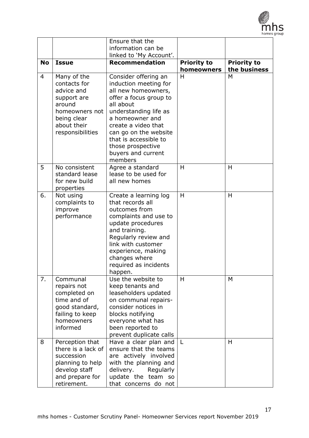

17

|                |                                                                                                                                        | Ensure that the<br>information can be<br>linked to 'My Account'.                                                                                                                                                                                                                       |                                  |                                    |
|----------------|----------------------------------------------------------------------------------------------------------------------------------------|----------------------------------------------------------------------------------------------------------------------------------------------------------------------------------------------------------------------------------------------------------------------------------------|----------------------------------|------------------------------------|
| <b>No</b>      | <b>Issue</b>                                                                                                                           | <b>Recommendation</b>                                                                                                                                                                                                                                                                  | <b>Priority to</b><br>homeowners | <b>Priority to</b><br>the business |
| $\overline{4}$ | Many of the<br>contacts for<br>advice and<br>support are<br>around<br>homeowners not<br>being clear<br>about their<br>responsibilities | Consider offering an<br>induction meeting for<br>all new homeowners,<br>offer a focus group to<br>all about<br>understanding life as<br>a homeowner and<br>create a video that<br>can go on the website<br>that is accessible to<br>those prospective<br>buyers and current<br>members | H                                | M                                  |
| 5              | No consistent<br>standard lease<br>for new build<br>properties                                                                         | Agree a standard<br>lease to be used for<br>all new homes                                                                                                                                                                                                                              | H                                | H                                  |
| 6.             | Not using<br>complaints to<br>improve<br>performance                                                                                   | Create a learning log<br>that records all<br>outcomes from<br>complaints and use to<br>update procedures<br>and training.<br>Regularly review and<br>link with customer<br>experience, making<br>changes where<br>required as incidents<br>happen.                                     | H                                | H                                  |
| 7.             | Communal<br>repairs not<br>completed on<br>time and of<br>good standard,<br>failing to keep<br>homeowners<br>informed                  | Use the website to<br>keep tenants and<br>leaseholders updated<br>on communal repairs-<br>consider notices in<br>blocks notifying<br>everyone what has<br>been reported to<br>prevent duplicate calls                                                                                  | H                                | M                                  |
| 8              | Perception that<br>there is a lack of<br>succession<br>planning to help<br>develop staff<br>and prepare for<br>retirement.             | Have a clear plan and<br>ensure that the teams<br>are actively involved<br>with the planning and<br>delivery.<br>Regularly<br>update the team so<br>that concerns do not                                                                                                               | L                                | H                                  |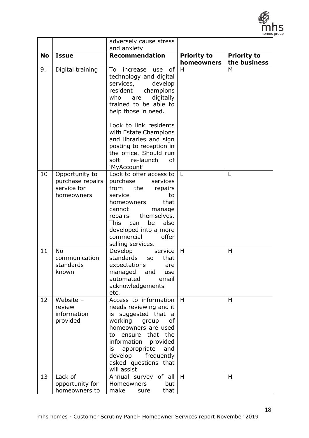

|           |                                                                 | adversely cause stress                                                                                                                                                                                                                                               |                    |                    |
|-----------|-----------------------------------------------------------------|----------------------------------------------------------------------------------------------------------------------------------------------------------------------------------------------------------------------------------------------------------------------|--------------------|--------------------|
| <b>No</b> | <b>Issue</b>                                                    | and anxiety<br><b>Recommendation</b>                                                                                                                                                                                                                                 | <b>Priority to</b> | <b>Priority to</b> |
|           |                                                                 |                                                                                                                                                                                                                                                                      | homeowners         | the business       |
| 9.        | Digital training                                                | of<br>To<br>increase<br>use<br>technology and digital<br>services,<br>develop<br>resident<br>champions<br>digitally<br>who<br>are<br>trained to be able to<br>help those in need.                                                                                    | H                  | M                  |
|           |                                                                 | Look to link residents<br>with Estate Champions<br>and libraries and sign<br>posting to reception in<br>the office. Should run<br>soft<br><b>of</b><br>re-launch<br>'MyAccount'                                                                                      |                    |                    |
| 10        | Opportunity to<br>purchase repairs<br>service for<br>homeowners | Look to offer access to<br>purchase<br>services<br>from<br>the<br>repairs<br>service<br>to<br>that<br>homeowners<br>cannot<br>manage<br>themselves.<br>repairs<br>This can<br>be<br>also<br>developed into a more<br>offer<br>commercial<br>selling services.        | L                  | L                  |
| 11        | <b>No</b><br>communication<br>standards<br>known                | Develop<br>service<br>standards<br>that<br><b>SO</b><br>expectations<br>are<br>and<br>managed<br>use<br>automated<br>email<br>acknowledgements<br>etc.                                                                                                               | H                  | H                  |
| 12        | Website -<br>review<br>information<br>provided                  | Access to information<br>needs reviewing and it<br>is suggested that a<br>working group<br>of<br>homeowners are used<br>ensure<br>that the<br>to<br>information provided<br>is<br>appropriate<br>and<br>develop<br>frequently<br>asked questions that<br>will assist | H                  | H                  |
| 13        | Lack of<br>opportunity for<br>homeowners to                     | Annual survey of all<br>but<br><b>Homeowners</b><br>make<br>that<br>sure                                                                                                                                                                                             | H                  | H                  |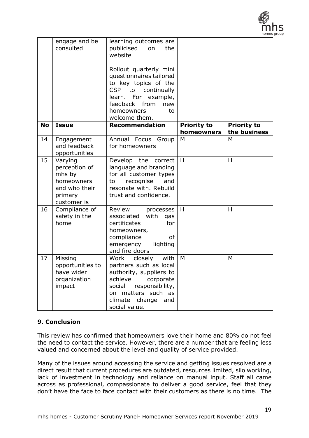

|           | engage and be<br>consulted                                                                  | learning outcomes are<br>publicised<br>on<br>the<br>website<br>Rollout quarterly mini<br>questionnaires tailored<br>to key topics of the<br><b>CSP</b><br>to continually<br>learn. For<br>example,<br>feedback from<br>new<br>homeowners<br>to<br>welcome them. |                                  |                                    |
|-----------|---------------------------------------------------------------------------------------------|-----------------------------------------------------------------------------------------------------------------------------------------------------------------------------------------------------------------------------------------------------------------|----------------------------------|------------------------------------|
| <b>No</b> | <b>Issue</b>                                                                                | <b>Recommendation</b>                                                                                                                                                                                                                                           | <b>Priority to</b><br>homeowners | <b>Priority to</b><br>the business |
| 14        | Engagement<br>and feedback<br>opportunities                                                 | Annual Focus Group<br>for homeowners                                                                                                                                                                                                                            | M                                | M                                  |
| 15        | Varying<br>perception of<br>mhs by<br>homeowners<br>and who their<br>primary<br>customer is | Develop the correct<br>language and branding<br>for all customer types<br>recognise<br>and<br>to<br>resonate with. Rebuild<br>trust and confidence.                                                                                                             | H                                | H                                  |
| 16        | Compliance of<br>safety in the<br>home                                                      | Review<br>processes<br>associated<br>with<br>gas<br>certificates<br>for<br>homeowners,<br>compliance<br><b>of</b><br>emergency<br>lighting<br>and fire doors                                                                                                    | H                                | H                                  |
| 17        | Missing<br>opportunities to<br>have wider<br>organization<br>impact                         | with<br>closely<br>Work<br>partners such as local<br>authority, suppliers to<br>achieve<br>corporate<br>responsibility,<br>social<br>matters such as<br>on<br>climate change<br>and<br>social value.                                                            | M                                | M                                  |

## **9. Conclusion**

This review has confirmed that homeowners love their home and 80% do not feel the need to contact the service. However, there are a number that are feeling less valued and concerned about the level and quality of service provided.

Many of the issues around accessing the service and getting issues resolved are a direct result that current procedures are outdated, resources limited, silo working, lack of investment in technology and reliance on manual input. Staff all came across as professional, compassionate to deliver a good service, feel that they don't have the face to face contact with their customers as there is no time. The